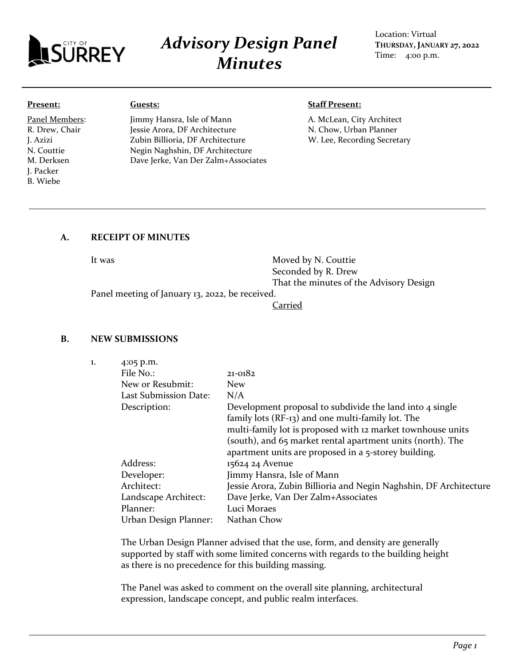

# *Advisory Design Panel Minutes*

Location: Virtual **THURSDAY, JANUARY 27, 2022** Time: 4:00 p.m.

#### **Present:**

Panel Members: R. Drew, Chair J. Azizi N. Couttie M. Derksen J. Packer B. Wiebe

#### **Guests:**

Jimmy Hansra, Isle of Mann Jessie Arora, DF Architecture Zubin Billioria, DF Architecture Negin Naghshin, DF Architecture Dave Jerke, Van Der Zalm+Associates

#### **Staff Present:**

A. McLean, City Architect N. Chow, Urban Planner W. Lee, Recording Secretary

#### **A. RECEIPT OF MINUTES**

It was Moved by N. Couttie Seconded by R. Drew That the minutes of the Advisory Design

Panel meeting of January 13, 2022, be received.

**Carried** 

#### **B. NEW SUBMISSIONS**

| ı. | 4:05 p.m.                    |                                                                   |
|----|------------------------------|-------------------------------------------------------------------|
|    | File No.:                    | $21 - 0182$                                                       |
|    | New or Resubmit:             | <b>New</b>                                                        |
|    | <b>Last Submission Date:</b> | N/A                                                               |
|    | Description:                 | Development proposal to subdivide the land into 4 single          |
|    |                              | family lots (RF-13) and one multi-family lot. The                 |
|    |                              | multi-family lot is proposed with 12 market townhouse units       |
|    |                              | (south), and 65 market rental apartment units (north). The        |
|    |                              | apartment units are proposed in a 5-storey building.              |
|    | Address:                     | 15624 24 Avenue                                                   |
|    | Developer:                   | Jimmy Hansra, Isle of Mann                                        |
|    | Architect:                   | Jessie Arora, Zubin Billioria and Negin Naghshin, DF Architecture |
|    | Landscape Architect:         | Dave Jerke, Van Der Zalm+Associates                               |
|    | Planner:                     | Luci Moraes                                                       |
|    | Urban Design Planner:        | Nathan Chow                                                       |
|    |                              |                                                                   |

The Urban Design Planner advised that the use, form, and density are generally supported by staff with some limited concerns with regards to the building height as there is no precedence for this building massing.

The Panel was asked to comment on the overall site planning, architectural expression, landscape concept, and public realm interfaces.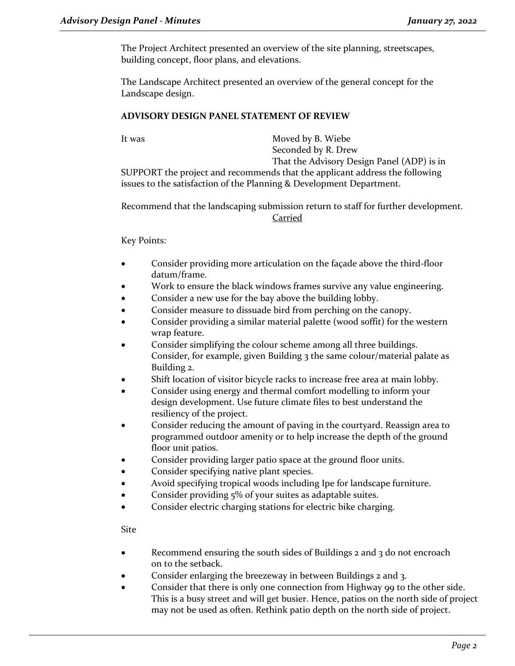The Project Architect presented an overview of the site planning, streetscapes, building concept, floor plans, and elevations.

The Landscape Architect presented an overview of the general concept for the Landscape design.

#### **ADVISORY DESIGN PANEL STATEMENT OF REVIEW**

It was Moved by B. Wiebe Seconded by R. Drew That the Advisory Design Panel (ADP) is in SUPPORT the project and recommends that the applicant address the following issues to the satisfaction of the Planning & Development Department.

Recommend that the landscaping submission return to staff for further development. Carried

Key Points:

- Consider providing more articulation on the façade above the third-floor datum/frame.
- Work to ensure the black windows frames survive any value engineering.
- Consider a new use for the bay above the building lobby.
- Consider measure to dissuade bird from perching on the canopy.
- Consider providing a similar material palette (wood soffit) for the western wrap feature.
- Consider simplifying the colour scheme among all three buildings. Consider, for example, given Building 3 the same colour/material palate as Building 2.
- Shift location of visitor bicycle racks to increase free area at main lobby.
- Consider using energy and thermal comfort modelling to inform your design development. Use future climate files to best understand the resiliency of the project.
- Consider reducing the amount of paving in the courtyard. Reassign area to programmed outdoor amenity or to help increase the depth of the ground floor unit patios.
- Consider providing larger patio space at the ground floor units.
- Consider specifying native plant species.
- Avoid specifying tropical woods including Ipe for landscape furniture.
- Consider providing 5% of your suites as adaptable suites.
- Consider electric charging stations for electric bike charging.

Site

- Recommend ensuring the south sides of Buildings 2 and 3 do not encroach on to the setback.
- Consider enlarging the breezeway in between Buildings 2 and 3.
- Consider that there is only one connection from Highway 99 to the other side. This is a busy street and will get busier. Hence, patios on the north side of project may not be used as often. Rethink patio depth on the north side of project.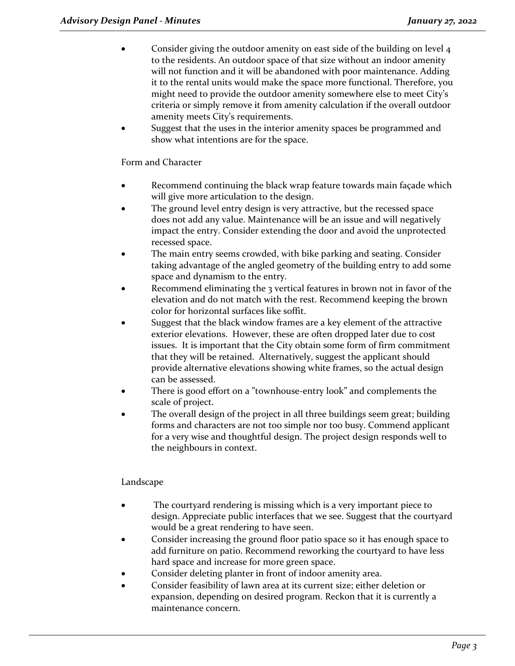- Consider giving the outdoor amenity on east side of the building on level 4 to the residents. An outdoor space of that size without an indoor amenity will not function and it will be abandoned with poor maintenance. Adding it to the rental units would make the space more functional. Therefore, you might need to provide the outdoor amenity somewhere else to meet City's criteria or simply remove it from amenity calculation if the overall outdoor amenity meets City's requirements.
- Suggest that the uses in the interior amenity spaces be programmed and show what intentions are for the space.

## Form and Character

- Recommend continuing the black wrap feature towards main façade which will give more articulation to the design.
- The ground level entry design is very attractive, but the recessed space does not add any value. Maintenance will be an issue and will negatively impact the entry. Consider extending the door and avoid the unprotected recessed space.
- The main entry seems crowded, with bike parking and seating. Consider taking advantage of the angled geometry of the building entry to add some space and dynamism to the entry.
- Recommend eliminating the 3 vertical features in brown not in favor of the elevation and do not match with the rest. Recommend keeping the brown color for horizontal surfaces like soffit.
- Suggest that the black window frames are a key element of the attractive exterior elevations. However, these are often dropped later due to cost issues. It is important that the City obtain some form of firm commitment that they will be retained. Alternatively, suggest the applicant should provide alternative elevations showing white frames, so the actual design can be assessed.
- There is good effort on a "townhouse-entry look" and complements the scale of project.
- The overall design of the project in all three buildings seem great; building forms and characters are not too simple nor too busy. Commend applicant for a very wise and thoughtful design. The project design responds well to the neighbours in context.

## Landscape

- The courtyard rendering is missing which is a very important piece to design. Appreciate public interfaces that we see. Suggest that the courtyard would be a great rendering to have seen.
- Consider increasing the ground floor patio space so it has enough space to add furniture on patio. Recommend reworking the courtyard to have less hard space and increase for more green space.
- Consider deleting planter in front of indoor amenity area.
- Consider feasibility of lawn area at its current size; either deletion or expansion, depending on desired program. Reckon that it is currently a maintenance concern.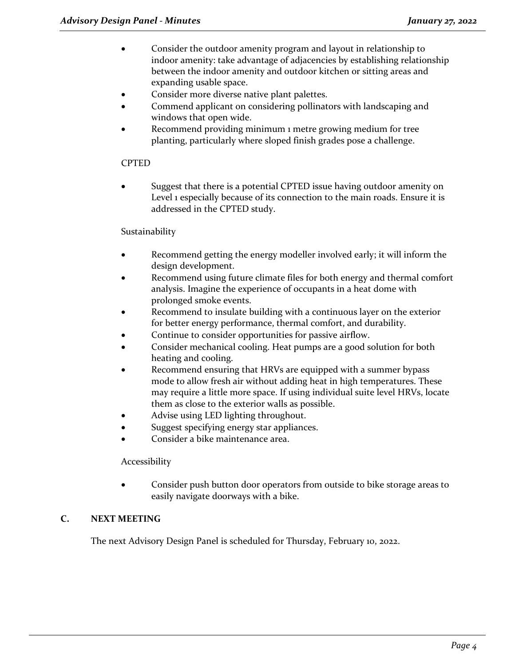- Consider the outdoor amenity program and layout in relationship to indoor amenity: take advantage of adjacencies by establishing relationship between the indoor amenity and outdoor kitchen or sitting areas and expanding usable space.
- Consider more diverse native plant palettes.
- Commend applicant on considering pollinators with landscaping and windows that open wide.
- Recommend providing minimum 1 metre growing medium for tree planting, particularly where sloped finish grades pose a challenge.

#### **CPTED**

• Suggest that there is a potential CPTED issue having outdoor amenity on Level 1 especially because of its connection to the main roads. Ensure it is addressed in the CPTED study.

### Sustainability

- Recommend getting the energy modeller involved early; it will inform the design development.
- Recommend using future climate files for both energy and thermal comfort analysis. Imagine the experience of occupants in a heat dome with prolonged smoke events.
- Recommend to insulate building with a continuous layer on the exterior for better energy performance, thermal comfort, and durability.
- Continue to consider opportunities for passive airflow.
- Consider mechanical cooling. Heat pumps are a good solution for both heating and cooling.
- Recommend ensuring that HRVs are equipped with a summer bypass mode to allow fresh air without adding heat in high temperatures. These may require a little more space. If using individual suite level HRVs, locate them as close to the exterior walls as possible.
- Advise using LED lighting throughout.
- Suggest specifying energy star appliances.
- Consider a bike maintenance area.

### Accessibility

• Consider push button door operators from outside to bike storage areas to easily navigate doorways with a bike.

## **C. NEXT MEETING**

The next Advisory Design Panel is scheduled for Thursday, February 10, 2022.